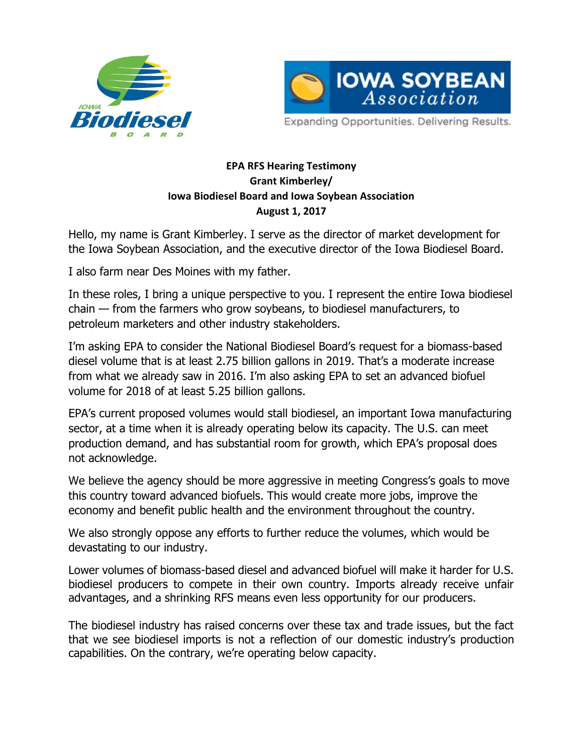



Expanding Opportunities. Delivering Results.

## **EPA RFS Hearing Testimony Grant Kimberley/ Iowa Biodiesel Board and Iowa Soybean Association August 1, 2017**

Hello, my name is Grant Kimberley. I serve as the director of market development for the Iowa Soybean Association, and the executive director of the Iowa Biodiesel Board.

I also farm near Des Moines with my father.

In these roles, I bring a unique perspective to you. I represent the entire Iowa biodiesel chain — from the farmers who grow soybeans, to biodiesel manufacturers, to petroleum marketers and other industry stakeholders.

I'm asking EPA to consider the National Biodiesel Board's request for a biomass-based diesel volume that is at least 2.75 billion gallons in 2019. That's a moderate increase from what we already saw in 2016. I'm also asking EPA to set an advanced biofuel volume for 2018 of at least 5.25 billion gallons.

EPA's current proposed volumes would stall biodiesel, an important Iowa manufacturing sector, at a time when it is already operating below its capacity. The U.S. can meet production demand, and has substantial room for growth, which EPA's proposal does not acknowledge.

We believe the agency should be more aggressive in meeting Congress's goals to move this country toward advanced biofuels. This would create more jobs, improve the economy and benefit public health and the environment throughout the country.

We also strongly oppose any efforts to further reduce the volumes, which would be devastating to our industry.

Lower volumes of biomass-based diesel and advanced biofuel will make it harder for U.S. biodiesel producers to compete in their own country. Imports already receive unfair advantages, and a shrinking RFS means even less opportunity for our producers.

The biodiesel industry has raised concerns over these tax and trade issues, but the fact that we see biodiesel imports is not a reflection of our domestic industry's production capabilities. On the contrary, we're operating below capacity.